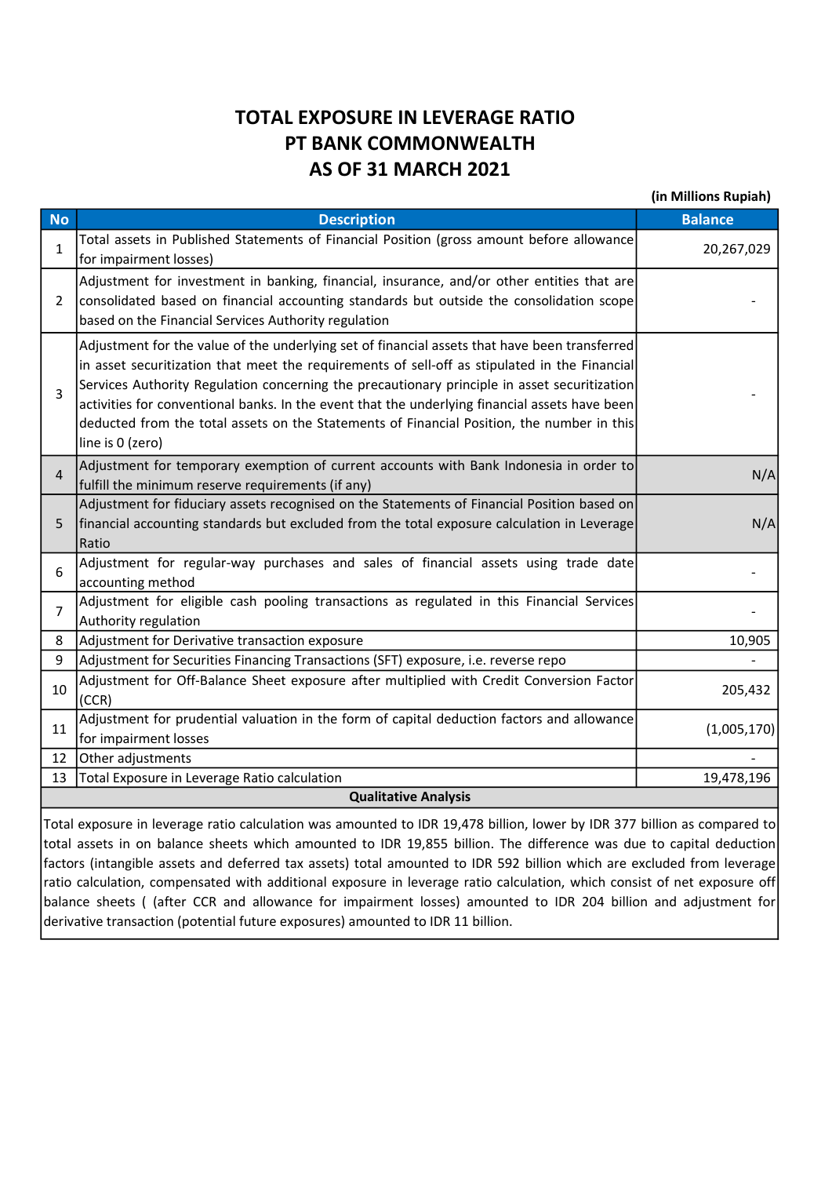## TOTAL EXPOSURE IN LEVERAGE RATIO PT BANK COMMONWEALTH AS OF 31 MARCH 2021

(in Millions Rupiah) No **Description Balance Balance** Balance Balance Balance Balance Balance Balance 1 Total assets in Published Statements of Financial Position (gross amount before allowance for impairment losses) 20,267,029  $\mathcal{L}$ Adjustment for investment in banking, financial, insurance, and/or other entities that are consolidated based on financial accounting standards but outside the consolidation scope based on the Financial Services Authority regulation - 1990 - 1990 - 1990 - 1990 - 1990 - 1990 - 1990 - 1990 - 1990 - 1990 - 1990 - 1990 - 1990 - 1990 - 1990 - 199<br>1991 - 1992 - 1993 - 1994 - 1995 - 1996 - 1997 - 1998 - 1999 - 1999 - 1999 - 1999 - 1999 - 1999 - 1999 - 1999 3 Adjustment for the value of the underlying set of financial assets that have been transferred in asset securitization that meet the requirements of sell-off as stipulated in the Financial Services Authority Regulation concerning the precautionary principle in asset securitization activities for conventional banks. In the event that the underlying financial assets have been deducted from the total assets on the Statements of Financial Position, the number in this line is 0 (zero) - 1990 - 1990 - 1990 - 1990 - 1990 - 1990 - 1990 - 1990 - 1990 - 1990 - 1990 - 1990 - 1990 - 1990 - 1990 - 19<br>1991 - 1991 - 1991 - 1991 - 1991 - 1991 - 1991 - 1991 - 1991 - 1991 - 1991 - 1991 - 1991 - 1991 - 1991 - 1991  $\Delta$ Adjustment for temporary exemption of current accounts with Bank Indonesia in order to Fulfill the minimum reserve requirements (if any) N/A 5 Adjustment for fiduciary assets recognised on the Statements of Financial Position based on financial accounting standards but excluded from the total exposure calculation in Leverage Ratio N/A 6 Adjustment for regular-way purchases and sales of financial assets using trade date accounting method **accounting method** accounting method and parameters and sales of minimizing assessment and call<br>accounting method 7 Adjustment for eligible cash pooling transactions as regulated in this Financial Services Authority regulation **complete that the complete complete** and the contract of the contract of the contract of the contract of the contract of the contract of the contract of the contract of the contract of the contract of 8 Adjustment for Derivative transaction exposure 10,905 9 | Adjustment for Securities Financing Transactions (SFT) exposure, i.e. reverse repo 10 Adjustment for Off-Balance Sheet exposure after multiplied with Credit Conversion Factor (CCR) 205,432 11 Adjustment for prudential valuation in the form of capital deduction factors and allowance for impairment losses (1,005,170) 12 Other adjustments 13 Total Exposure in Leverage Ratio calculation 19,478,196 Qualitative Analysis

Total exposure in leverage ratio calculation was amounted to IDR 19,478 billion, lower by IDR 377 billion as compared to total assets in on balance sheets which amounted to IDR 19,855 billion. The difference was due to capital deduction factors (intangible assets and deferred tax assets) total amounted to IDR 592 billion which are excluded from leverage ratio calculation, compensated with additional exposure in leverage ratio calculation, which consist of net exposure off balance sheets ( (after CCR and allowance for impairment losses) amounted to IDR 204 billion and adjustment for derivative transaction (potential future exposures) amounted to IDR 11 billion.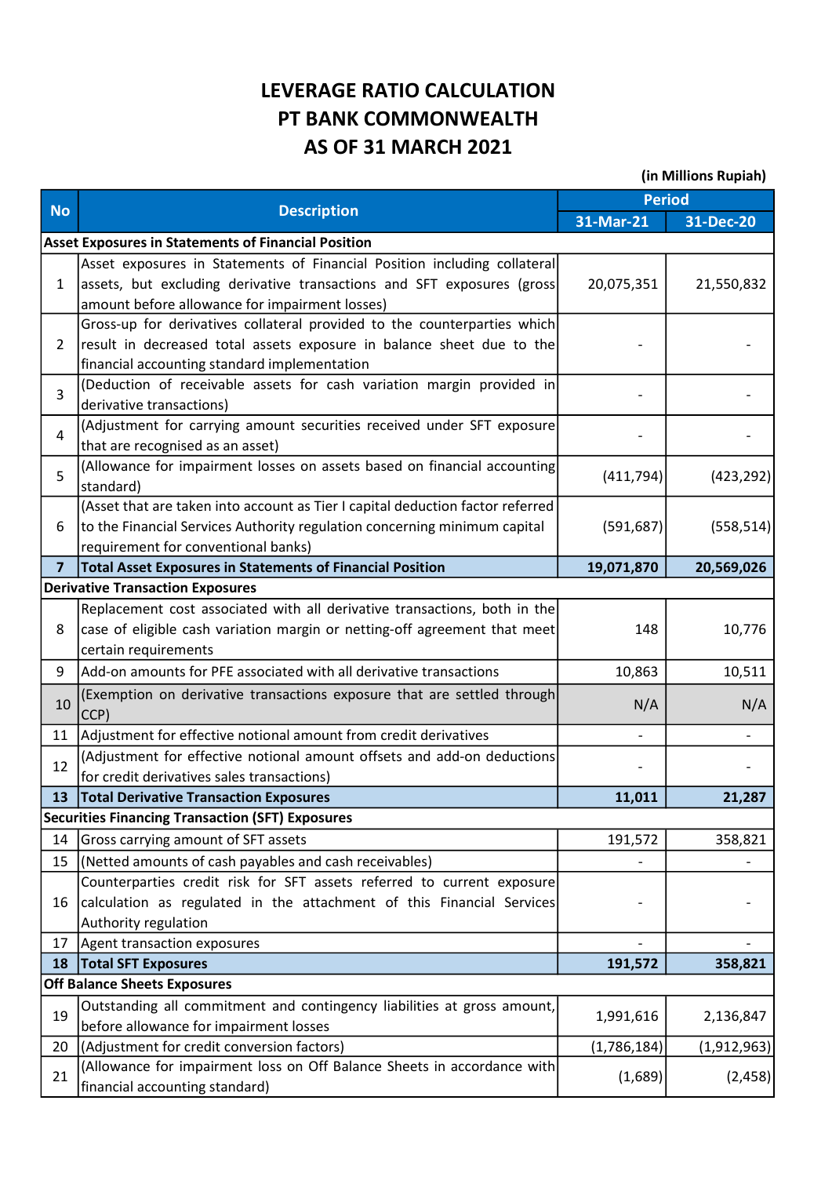## LEVERAGE RATIO CALCULATION PT BANK COMMONWEALTH AS OF 31 MARCH 2021

| (in Millions Rupiah) |  |
|----------------------|--|
|----------------------|--|

|                         |                                                                                                            | <b>Period</b>            |             |  |
|-------------------------|------------------------------------------------------------------------------------------------------------|--------------------------|-------------|--|
| <b>No</b>               | <b>Description</b>                                                                                         | 31-Mar-21                | 31-Dec-20   |  |
|                         | <b>Asset Exposures in Statements of Financial Position</b>                                                 |                          |             |  |
| $\mathbf{1}$            | Asset exposures in Statements of Financial Position including collateral                                   |                          |             |  |
|                         | assets, but excluding derivative transactions and SFT exposures (gross                                     | 20,075,351               | 21,550,832  |  |
|                         | amount before allowance for impairment losses)                                                             |                          |             |  |
| $\overline{2}$          | Gross-up for derivatives collateral provided to the counterparties which                                   |                          |             |  |
|                         | result in decreased total assets exposure in balance sheet due to the                                      |                          |             |  |
|                         | financial accounting standard implementation                                                               |                          |             |  |
| 3                       | (Deduction of receivable assets for cash variation margin provided in                                      |                          |             |  |
|                         | derivative transactions)                                                                                   |                          |             |  |
| 4                       | (Adjustment for carrying amount securities received under SFT exposure<br>that are recognised as an asset) |                          |             |  |
|                         | (Allowance for impairment losses on assets based on financial accounting                                   |                          |             |  |
| 5                       | standard)                                                                                                  | (411,794)                | (423, 292)  |  |
|                         | (Asset that are taken into account as Tier I capital deduction factor referred                             |                          |             |  |
| 6                       | to the Financial Services Authority regulation concerning minimum capital                                  | (591, 687)               | (558, 514)  |  |
|                         | requirement for conventional banks)                                                                        |                          |             |  |
| $\overline{\mathbf{z}}$ | <b>Total Asset Exposures in Statements of Financial Position</b>                                           | 19,071,870               | 20,569,026  |  |
|                         | <b>Derivative Transaction Exposures</b>                                                                    |                          |             |  |
|                         | Replacement cost associated with all derivative transactions, both in the                                  |                          |             |  |
| 8                       | case of eligible cash variation margin or netting-off agreement that meet                                  | 148                      | 10,776      |  |
|                         | certain requirements                                                                                       |                          |             |  |
| 9                       | Add-on amounts for PFE associated with all derivative transactions                                         | 10,863                   | 10,511      |  |
| 10                      | (Exemption on derivative transactions exposure that are settled through<br>CCP)                            | N/A                      | N/A         |  |
| 11                      | Adjustment for effective notional amount from credit derivatives                                           | $\overline{\phantom{a}}$ |             |  |
|                         | (Adjustment for effective notional amount offsets and add-on deductions                                    |                          |             |  |
| 12                      | for credit derivatives sales transactions)                                                                 |                          |             |  |
| 13                      | <b>Total Derivative Transaction Exposures</b>                                                              | 11,011                   | 21,287      |  |
|                         | <b>Securities Financing Transaction (SFT) Exposures</b>                                                    |                          |             |  |
| 14                      | Gross carrying amount of SFT assets                                                                        | 191,572                  | 358,821     |  |
| 15                      | (Netted amounts of cash payables and cash receivables)                                                     |                          |             |  |
|                         | Counterparties credit risk for SFT assets referred to current exposure                                     |                          |             |  |
| 16                      | calculation as regulated in the attachment of this Financial Services                                      |                          |             |  |
|                         | Authority regulation                                                                                       |                          |             |  |
| 17                      | Agent transaction exposures                                                                                |                          |             |  |
| 18                      | <b>Total SFT Exposures</b>                                                                                 | 191,572                  | 358,821     |  |
|                         | <b>Off Balance Sheets Exposures</b>                                                                        |                          |             |  |
| 19                      | Outstanding all commitment and contingency liabilities at gross amount,                                    | 1,991,616                | 2,136,847   |  |
|                         | before allowance for impairment losses                                                                     |                          |             |  |
| 20                      | (Adjustment for credit conversion factors)                                                                 | (1,786,184)              | (1,912,963) |  |
| 21                      | (Allowance for impairment loss on Off Balance Sheets in accordance with<br>financial accounting standard)  | (1,689)                  | (2,458)     |  |